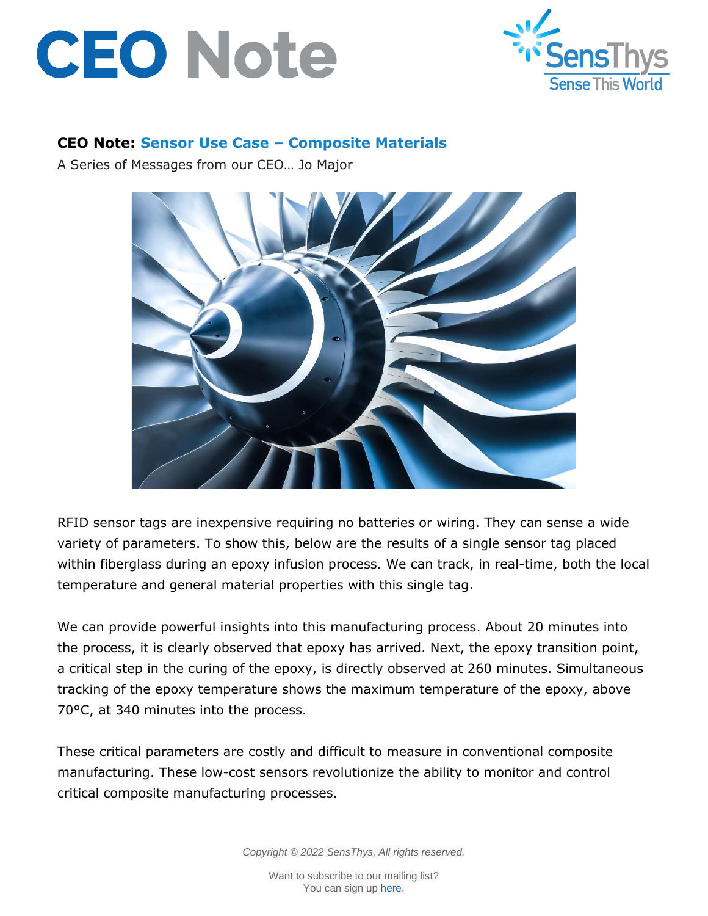



## **CEO Note: Sensor Use Case – Composite Materials**

A Series of Messages from our CEO… Jo Major



RFID sensor tags are inexpensive requiring no batteries or wiring. They can sense a wide variety of parameters. To show this, below are the results of a single sensor tag placed within fiberglass during an epoxy infusion process. We can track, in real-time, both the local temperature and general material properties with this single tag.

We can provide powerful insights into this manufacturing process. About 20 minutes into the process, it is clearly observed that epoxy has arrived. Next, the epoxy transition point, a critical step in the curing of the epoxy, is directly observed at 260 minutes. Simultaneous tracking of the epoxy temperature shows the maximum temperature of the epoxy, above 70°C, at 340 minutes into the process.

These critical parameters are costly and difficult to measure in conventional composite manufacturing. These low-cost sensors revolutionize the ability to monitor and control critical composite manufacturing processes.

*Copyright © 2022 SensThys, All rights reserved.*